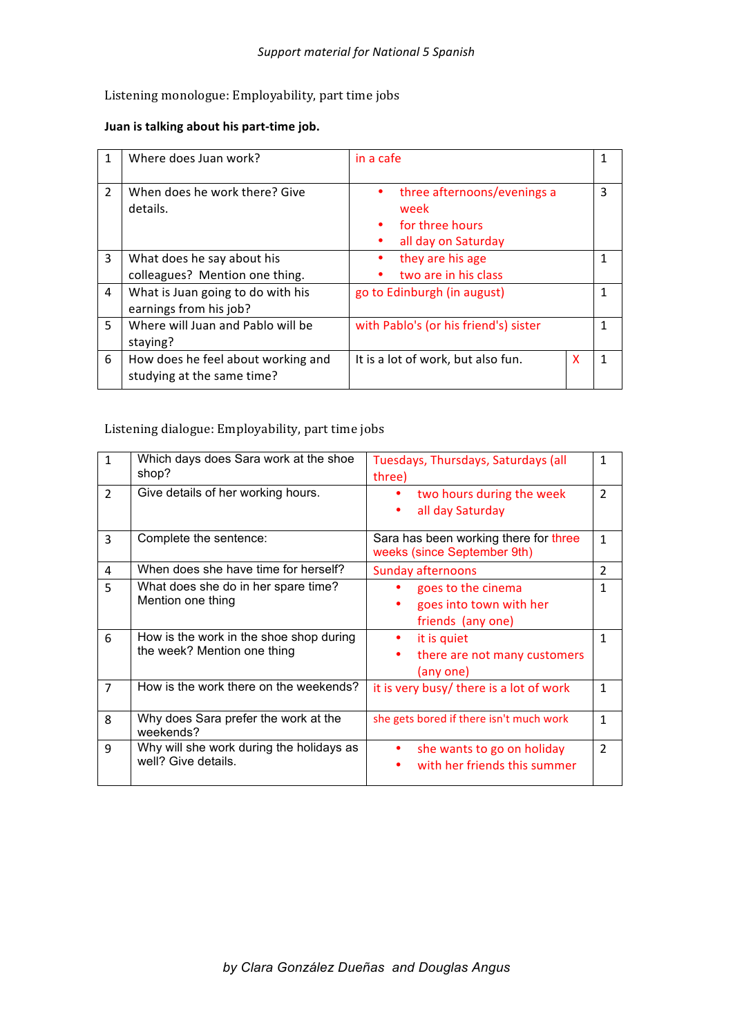## Listening monologue: Employability, part time jobs

## Juan is talking about his part-time job.

| 1              | Where does Juan work?                                            | in a cafe                                                                     | 1 |
|----------------|------------------------------------------------------------------|-------------------------------------------------------------------------------|---|
| $\overline{2}$ | When does he work there? Give<br>details.                        | three afternoons/evenings a<br>week<br>for three hours<br>all day on Saturday | 3 |
| 3              | What does he say about his<br>colleagues? Mention one thing.     | they are his age<br>two are in his class                                      | 1 |
| 4              | What is Juan going to do with his<br>earnings from his job?      | go to Edinburgh (in august)                                                   | 1 |
| 5.             | Where will Juan and Pablo will be<br>staying?                    | with Pablo's (or his friend's) sister                                         | 1 |
| 6              | How does he feel about working and<br>studying at the same time? | It is a lot of work, but also fun.<br>X                                       | 1 |

## Listening dialogue: Employability, part time jobs

| $\mathbf{1}$   | Which days does Sara work at the shoe<br>shop?                         | Tuesdays, Thursdays, Saturdays (all<br>three)                        | 1              |
|----------------|------------------------------------------------------------------------|----------------------------------------------------------------------|----------------|
| $\overline{2}$ | Give details of her working hours.                                     | two hours during the week<br>all day Saturday                        | $\overline{2}$ |
| 3              | Complete the sentence:                                                 | Sara has been working there for three<br>weeks (since September 9th) | $\mathbf{1}$   |
| 4              | When does she have time for herself?                                   | <b>Sunday afternoons</b>                                             | $\overline{2}$ |
| 5              | What does she do in her spare time?<br>Mention one thing               | goes to the cinema<br>goes into town with her<br>friends (any one)   | 1              |
| 6              | How is the work in the shoe shop during<br>the week? Mention one thing | it is quiet<br>there are not many customers<br>٠<br>(any one)        | 1              |
| $\overline{7}$ | How is the work there on the weekends?                                 | it is very busy/ there is a lot of work                              | 1              |
| 8              | Why does Sara prefer the work at the<br>weekends?                      | she gets bored if there isn't much work                              | $\mathbf{1}$   |
| 9              | Why will she work during the holidays as<br>well? Give details.        | she wants to go on holiday<br>with her friends this summer           | $\overline{2}$ |